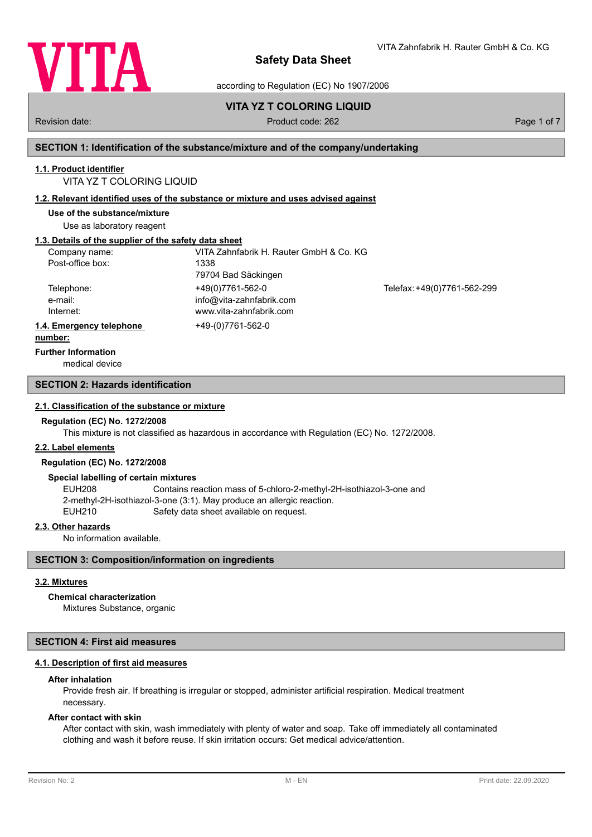

VITA Zahnfabrik H. Rauter GmbH & Co. KG

according to Regulation (EC) No 1907/2006

# **VITA YZ T COLORING LIQUID**

# Revision date: Product code: 262 Page 1 of 7 Page 1 of 7

# **SECTION 1: Identification of the substance/mixture and of the company/undertaking**

### **1.1. Product identifier**

# VITA YZ T COLORING LIQUID

### **1.2. Relevant identified uses of the substance or mixture and uses advised against**

**Use of the substance/mixture**

Use as laboratory reagent

# **1.3. Details of the supplier of the safety data sheet**

| Company name:            | VITA Zahnfabrik H. Rauter GmbH & Co. KG |                             |
|--------------------------|-----------------------------------------|-----------------------------|
| Post-office box:         | 1338                                    |                             |
|                          | 79704 Bad Säckingen                     |                             |
| Telephone:               | +49(0)7761-562-0                        | Telefax: +49(0)7761-562-299 |
| e-mail:                  | info@vita-zahnfabrik.com                |                             |
| Internet:                | www.vita-zahnfabrik.com                 |                             |
| 1.4. Emergency telephone | +49-(0)7761-562-0                       |                             |
| المتمام والممتنعة        |                                         |                             |

#### **number:**

**Further Information**

medical device

## **SECTION 2: Hazards identification**

### **2.1. Classification of the substance or mixture**

### **Regulation (EC) No. 1272/2008**

This mixture is not classified as hazardous in accordance with Regulation (EC) No. 1272/2008.

### **2.2. Label elements**

#### **Regulation (EC) No. 1272/2008**

#### **Special labelling of certain mixtures**

EUH208 Contains reaction mass of 5-chloro-2-methyl-2H-isothiazol-3-one and 2-methyl-2H-isothiazol-3-one (3:1). May produce an allergic reaction. EUH210 Safety data sheet available on request.

### **2.3. Other hazards**

No information available.

## **SECTION 3: Composition/information on ingredients**

## **3.2. Mixtures**

### **Chemical characterization**

Mixtures Substance, organic

# **SECTION 4: First aid measures**

### **4.1. Description of first aid measures**

### **After inhalation**

Provide fresh air. If breathing is irregular or stopped, administer artificial respiration. Medical treatment necessary.

### **After contact with skin**

After contact with skin, wash immediately with plenty of water and soap. Take off immediately all contaminated clothing and wash it before reuse. If skin irritation occurs: Get medical advice/attention.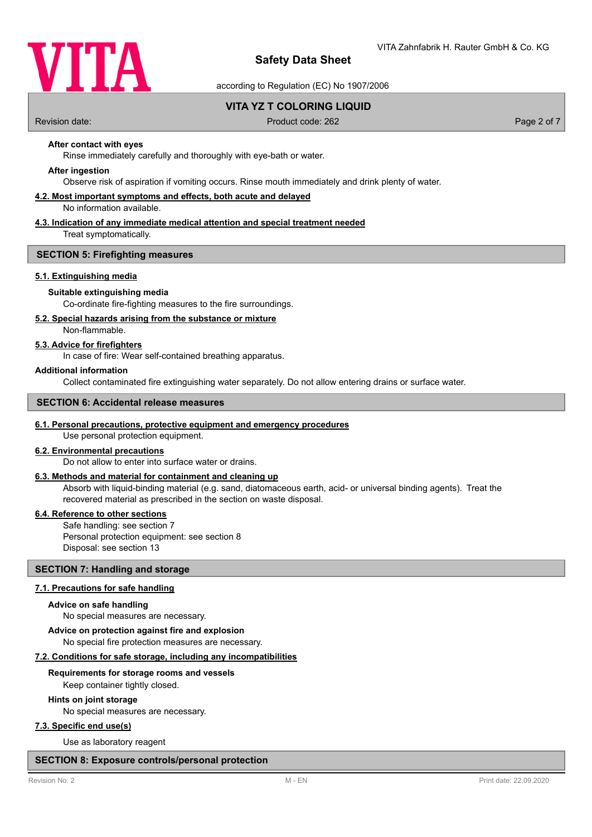

according to Regulation (EC) No 1907/2006

# **VITA YZ T COLORING LIQUID**

Revision date: Product code: 262 Page 2 of 7

**After contact with eyes**

Rinse immediately carefully and thoroughly with eye-bath or water.

### **After ingestion**

Observe risk of aspiration if vomiting occurs. Rinse mouth immediately and drink plenty of water.

### **4.2. Most important symptoms and effects, both acute and delayed**

No information available.

### **4.3. Indication of any immediate medical attention and special treatment needed**

Treat symptomatically.

### **SECTION 5: Firefighting measures**

### **5.1. Extinguishing media**

### **Suitable extinguishing media**

Co-ordinate fire-fighting measures to the fire surroundings.

## **5.2. Special hazards arising from the substance or mixture**

Non-flammable.

# **5.3. Advice for firefighters**

In case of fire: Wear self-contained breathing apparatus.

### **Additional information**

Collect contaminated fire extinguishing water separately. Do not allow entering drains or surface water.

## **SECTION 6: Accidental release measures**

## **6.1. Personal precautions, protective equipment and emergency procedures**

Use personal protection equipment.

### **6.2. Environmental precautions**

Do not allow to enter into surface water or drains.

## **6.3. Methods and material for containment and cleaning up**

Absorb with liquid-binding material (e.g. sand, diatomaceous earth, acid- or universal binding agents). Treat the recovered material as prescribed in the section on waste disposal.

### **6.4. Reference to other sections**

Safe handling: see section 7 Personal protection equipment: see section 8 Disposal: see section 13

### **SECTION 7: Handling and storage**

### **7.1. Precautions for safe handling**

#### **Advice on safe handling**

No special measures are necessary.

## No special fire protection measures are necessary. **Advice on protection against fire and explosion**

### **7.2. Conditions for safe storage, including any incompatibilities**

### **Requirements for storage rooms and vessels**

Keep container tightly closed.

## **Hints on joint storage**

No special measures are necessary.

# **7.3. Specific end use(s)**

Use as laboratory reagent

### **SECTION 8: Exposure controls/personal protection**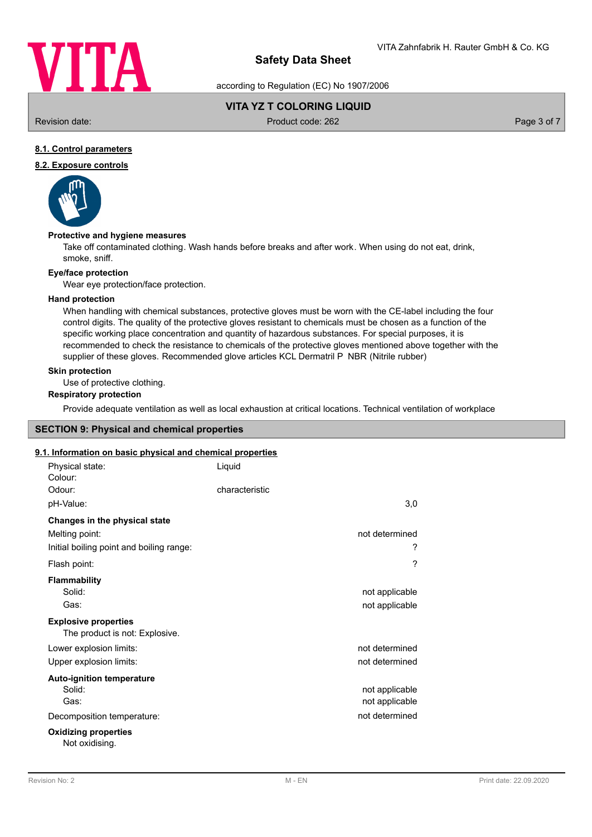

according to Regulation (EC) No 1907/2006

# **VITA YZ T COLORING LIQUID**

Revision date: Product code: 262 Page 3 of 7

# **8.1. Control parameters**

# **8.2. Exposure controls**



### **Protective and hygiene measures**

Take off contaminated clothing. Wash hands before breaks and after work. When using do not eat, drink, smoke, sniff.

### **Eye/face protection**

Wear eye protection/face protection.

### **Hand protection**

When handling with chemical substances, protective gloves must be worn with the CE-label including the four control digits. The quality of the protective gloves resistant to chemicals must be chosen as a function of the specific working place concentration and quantity of hazardous substances. For special purposes, it is recommended to check the resistance to chemicals of the protective gloves mentioned above together with the supplier of these gloves. Recommended glove articles KCL Dermatril P NBR (Nitrile rubber)

## **Skin protection**

Use of protective clothing.

## **Respiratory protection**

Provide adequate ventilation as well as local exhaustion at critical locations. Technical ventilation of workplace

# **SECTION 9: Physical and chemical properties**

# **9.1. Information on basic physical and chemical properties**

| Physical state:<br>Colour:                                    | Liquid         |                |
|---------------------------------------------------------------|----------------|----------------|
| Odour:                                                        | characteristic |                |
| pH-Value:                                                     |                | 3,0            |
| Changes in the physical state                                 |                |                |
| Melting point:                                                |                | not determined |
| Initial boiling point and boiling range:                      |                | ?              |
| Flash point:                                                  |                | ?              |
| <b>Flammability</b>                                           |                |                |
| Solid:                                                        |                | not applicable |
| Gas:                                                          |                | not applicable |
| <b>Explosive properties</b><br>The product is not: Explosive. |                |                |
| Lower explosion limits:                                       |                | not determined |
| Upper explosion limits:                                       |                | not determined |
| <b>Auto-ignition temperature</b>                              |                |                |
| Solid:                                                        |                | not applicable |
| Gas:                                                          |                | not applicable |
| Decomposition temperature:                                    |                | not determined |
| <b>Oxidizing properties</b><br>Not oxidising.                 |                |                |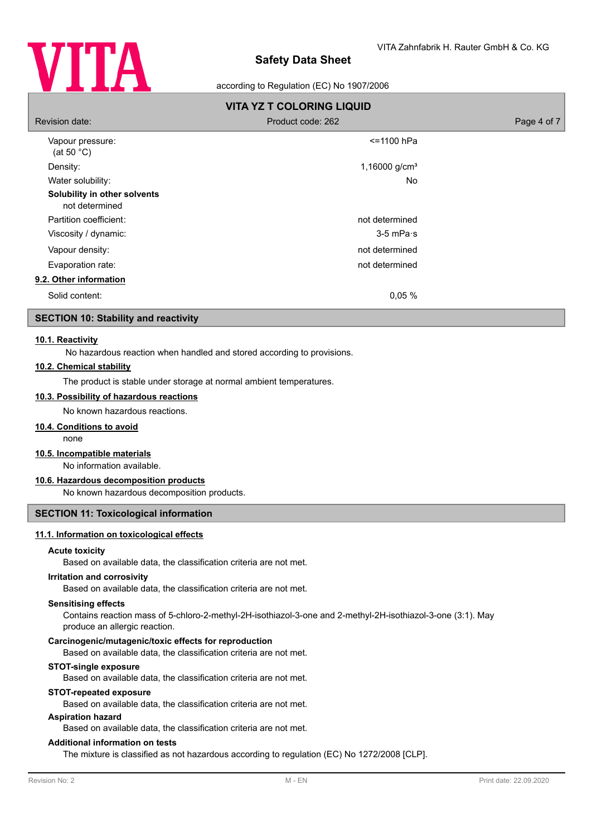

## according to Regulation (EC) No 1907/2006

| <b>VITA YZ T COLORING LIQUID</b>               |                     |             |  |  |
|------------------------------------------------|---------------------|-------------|--|--|
| Revision date:                                 | Product code: 262   | Page 4 of 7 |  |  |
| Vapour pressure:<br>(at 50 $^{\circ}$ C)       | <=1100 hPa          |             |  |  |
| Density:                                       | 1,16000 $g/cm3$     |             |  |  |
| Water solubility:                              | <b>No</b>           |             |  |  |
| Solubility in other solvents<br>not determined |                     |             |  |  |
| Partition coefficient:                         | not determined      |             |  |  |
| Viscosity / dynamic:                           | $3-5$ mPa $\cdot$ s |             |  |  |
| Vapour density:                                | not determined      |             |  |  |
| Evaporation rate:                              | not determined      |             |  |  |
| 9.2. Other information                         |                     |             |  |  |
| Solid content:                                 | 0,05%               |             |  |  |

# **SECTION 10: Stability and reactivity**

### **10.1. Reactivity**

No hazardous reaction when handled and stored according to provisions.

### **10.2. Chemical stability**

The product is stable under storage at normal ambient temperatures.

### **10.3. Possibility of hazardous reactions**

No known hazardous reactions.

### **10.4. Conditions to avoid**

none

# **10.5. Incompatible materials**

No information available.

## **10.6. Hazardous decomposition products**

No known hazardous decomposition products.

### **SECTION 11: Toxicological information**

# **11.1. Information on toxicological effects**

### **Acute toxicity**

Based on available data, the classification criteria are not met.

### **Irritation and corrosivity**

Based on available data, the classification criteria are not met.

#### **Sensitising effects**

Contains reaction mass of 5-chloro-2-methyl-2H-isothiazol-3-one and 2-methyl-2H-isothiazol-3-one (3:1). May produce an allergic reaction.

### **Carcinogenic/mutagenic/toxic effects for reproduction**

Based on available data, the classification criteria are not met.

### **STOT-single exposure**

Based on available data, the classification criteria are not met.

# **STOT-repeated exposure**

Based on available data, the classification criteria are not met.

### **Aspiration hazard**

Based on available data, the classification criteria are not met.

### **Additional information on tests**

The mixture is classified as not hazardous according to regulation (EC) No 1272/2008 [CLP].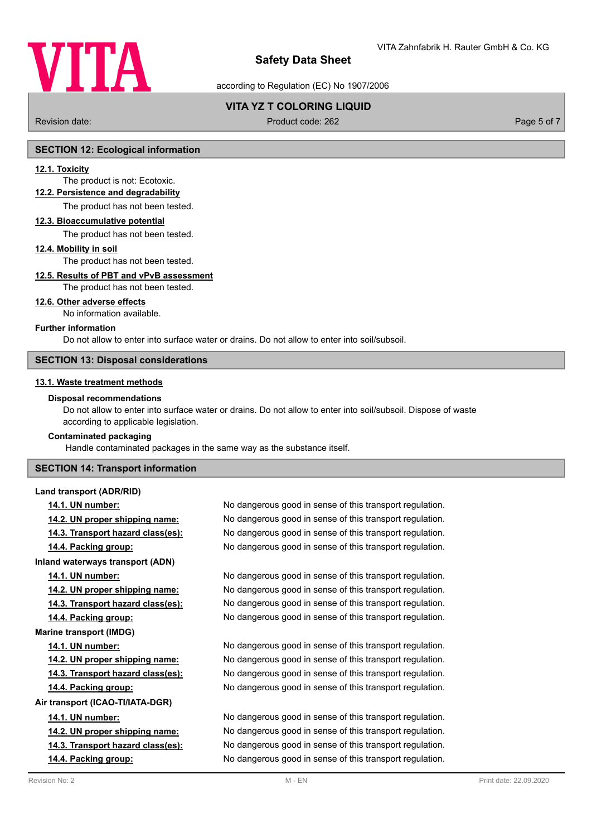

according to Regulation (EC) No 1907/2006

# **VITA YZ T COLORING LIQUID**

Revision date: Product code: 262 Page 5 of 7 Page 5 of 7

# **SECTION 12: Ecological information**

### **12.1. Toxicity**

The product is not: Ecotoxic.

# **12.2. Persistence and degradability**

The product has not been tested.

# **12.3. Bioaccumulative potential**

The product has not been tested.

### **12.4. Mobility in soil**

### The product has not been tested.

### **12.5. Results of PBT and vPvB assessment**

The product has not been tested.

### **12.6. Other adverse effects**

No information available.

### **Further information**

Do not allow to enter into surface water or drains. Do not allow to enter into soil/subsoil.

### **SECTION 13: Disposal considerations**

## **13.1. Waste treatment methods**

### **Disposal recommendations**

Do not allow to enter into surface water or drains. Do not allow to enter into soil/subsoil. Dispose of waste according to applicable legislation.

### **Contaminated packaging**

Handle contaminated packages in the same way as the substance itself.

## **SECTION 14: Transport information**

**Land transport (ADR/RID)**

**Inland waterways transport (ADN) Marine transport (IMDG) Air transport (ICAO-TI/IATA-DGR)**

**14.1. UN number:** No dangerous good in sense of this transport regulation. **14.2. UN proper shipping name:** No dangerous good in sense of this transport regulation. **14.3. Transport hazard class(es):** No dangerous good in sense of this transport regulation. **14.4. Packing group:** No dangerous good in sense of this transport regulation.

**14.1. UN number:** No dangerous good in sense of this transport regulation. **14.2. UN proper shipping name:** No dangerous good in sense of this transport regulation. **14.3. Transport hazard class(es):** No dangerous good in sense of this transport regulation. **14.4. Packing group:** No dangerous good in sense of this transport regulation.

**14.1. UN number:** No dangerous good in sense of this transport regulation. **14.2. UN proper shipping name:** No dangerous good in sense of this transport regulation. **14.3. Transport hazard class(es):** No dangerous good in sense of this transport regulation. **14.4. Packing group:** No dangerous good in sense of this transport regulation.

**14.1. UN number:** No dangerous good in sense of this transport regulation. **14.2. UN proper shipping name:** No dangerous good in sense of this transport regulation. **14.3. Transport hazard class(es):** No dangerous good in sense of this transport regulation. **14.4. Packing group:** No dangerous good in sense of this transport regulation.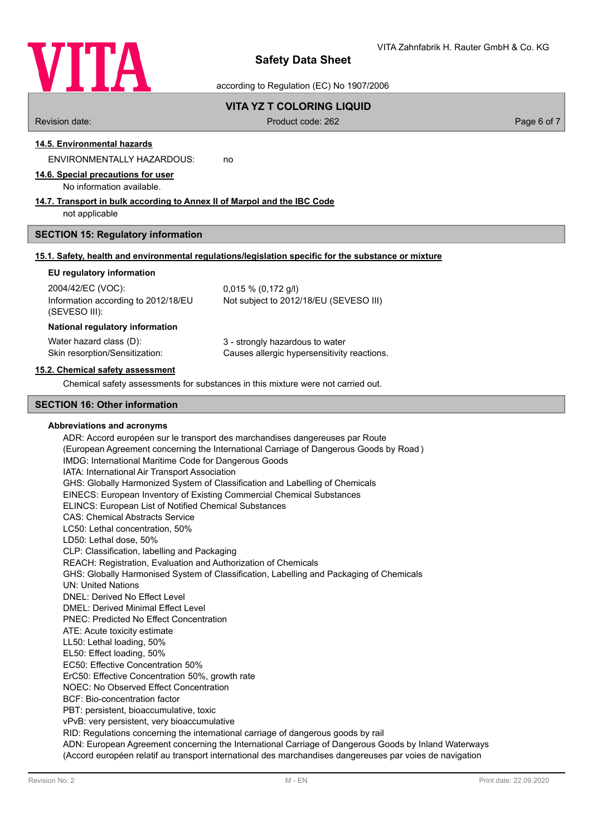

according to Regulation (EC) No 1907/2006

# **VITA YZ T COLORING LIQUID**

Revision date: Product code: 262 Page 6 of 7

**14.5. Environmental hazards**

ENVIRONMENTALLY HAZARDOUS: no

**14.6. Special precautions for user**

### No information available.

# **14.7. Transport in bulk according to Annex II of Marpol and the IBC Code**

not applicable

### **SECTION 15: Regulatory information**

### **15.1. Safety, health and environmental regulations/legislation specific for the substance or mixture**

### **EU regulatory information**

2004/42/EC (VOC): 0,015 % (0,172 g/l) Information according to 2012/18/EU (SEVESO III): Not subject to 2012/18/EU (SEVESO III)

### **National regulatory information**

Water hazard class (D): 3 - strongly hazardous to water

Skin resorption/Sensitization: Causes allergic hypersensitivity reactions.

### **15.2. Chemical safety assessment**

Chemical safety assessments for substances in this mixture were not carried out.

## **SECTION 16: Other information**

### **Abbreviations and acronyms**

ADR: Accord européen sur le transport des marchandises dangereuses par Route (European Agreement concerning the International Carriage of Dangerous Goods by Road ) IMDG: International Maritime Code for Dangerous Goods IATA: International Air Transport Association GHS: Globally Harmonized System of Classification and Labelling of Chemicals EINECS: European Inventory of Existing Commercial Chemical Substances ELINCS: European List of Notified Chemical Substances CAS: Chemical Abstracts Service LC50: Lethal concentration, 50% LD50: Lethal dose, 50% CLP: Classification, labelling and Packaging REACH: Registration, Evaluation and Authorization of Chemicals GHS: Globally Harmonised System of Classification, Labelling and Packaging of Chemicals UN: United Nations DNEL: Derived No Effect Level DMEL: Derived Minimal Effect Level PNEC: Predicted No Effect Concentration ATE: Acute toxicity estimate LL50: Lethal loading, 50% EL50: Effect loading, 50% EC50: Effective Concentration 50% ErC50: Effective Concentration 50%, growth rate NOEC: No Observed Effect Concentration BCF: Bio-concentration factor PBT: persistent, bioaccumulative, toxic vPvB: very persistent, very bioaccumulative RID: Regulations concerning the international carriage of dangerous goods by rail ADN: European Agreement concerning the International Carriage of Dangerous Goods by Inland Waterways (Accord européen relatif au transport international des marchandises dangereuses par voies de navigation